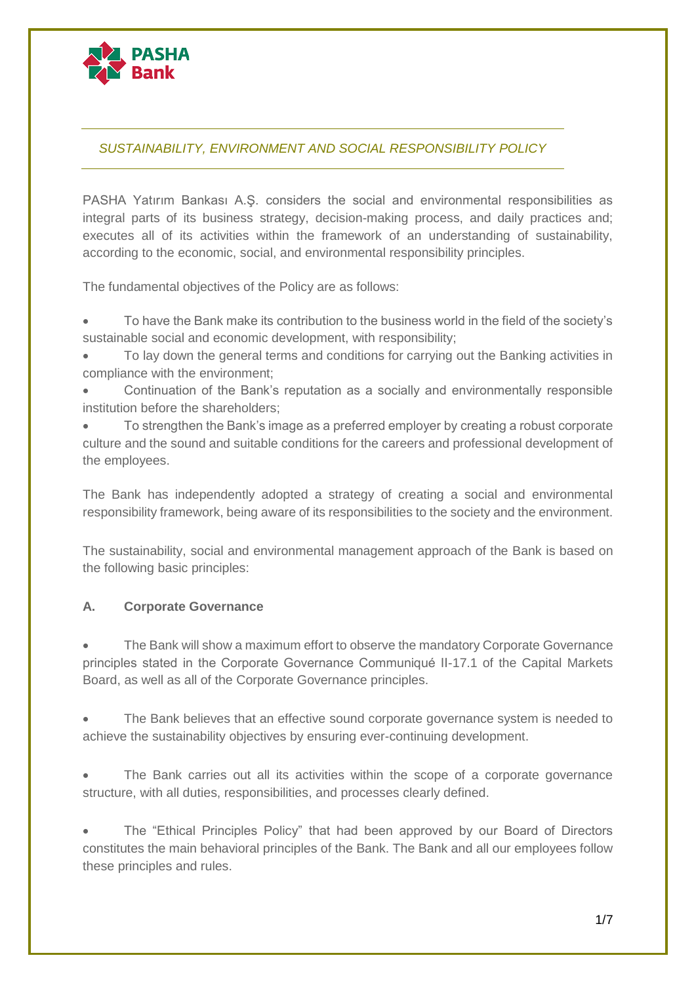

# *SUSTAINABILITY, ENVIRONMENT AND SOCIAL RESPONSIBILITY POLICY*

PASHA Yatırım Bankası A.Ş. considers the social and environmental responsibilities as integral parts of its business strategy, decision-making process, and daily practices and; executes all of its activities within the framework of an understanding of sustainability, according to the economic, social, and environmental responsibility principles.

The fundamental objectives of the Policy are as follows:

 To have the Bank make its contribution to the business world in the field of the society's sustainable social and economic development, with responsibility;

- To lay down the general terms and conditions for carrying out the Banking activities in compliance with the environment;
- Continuation of the Bank's reputation as a socially and environmentally responsible institution before the shareholders;
- To strengthen the Bank's image as a preferred employer by creating a robust corporate culture and the sound and suitable conditions for the careers and professional development of the employees.

The Bank has independently adopted a strategy of creating a social and environmental responsibility framework, being aware of its responsibilities to the society and the environment.

The sustainability, social and environmental management approach of the Bank is based on the following basic principles:

## **A. Corporate Governance**

 The Bank will show a maximum effort to observe the mandatory Corporate Governance principles stated in the Corporate Governance Communiqué II-17.1 of the Capital Markets Board, as well as all of the Corporate Governance principles.

 The Bank believes that an effective sound corporate governance system is needed to achieve the sustainability objectives by ensuring ever-continuing development.

 The Bank carries out all its activities within the scope of a corporate governance structure, with all duties, responsibilities, and processes clearly defined.

 The "Ethical Principles Policy" that had been approved by our Board of Directors constitutes the main behavioral principles of the Bank. The Bank and all our employees follow these principles and rules.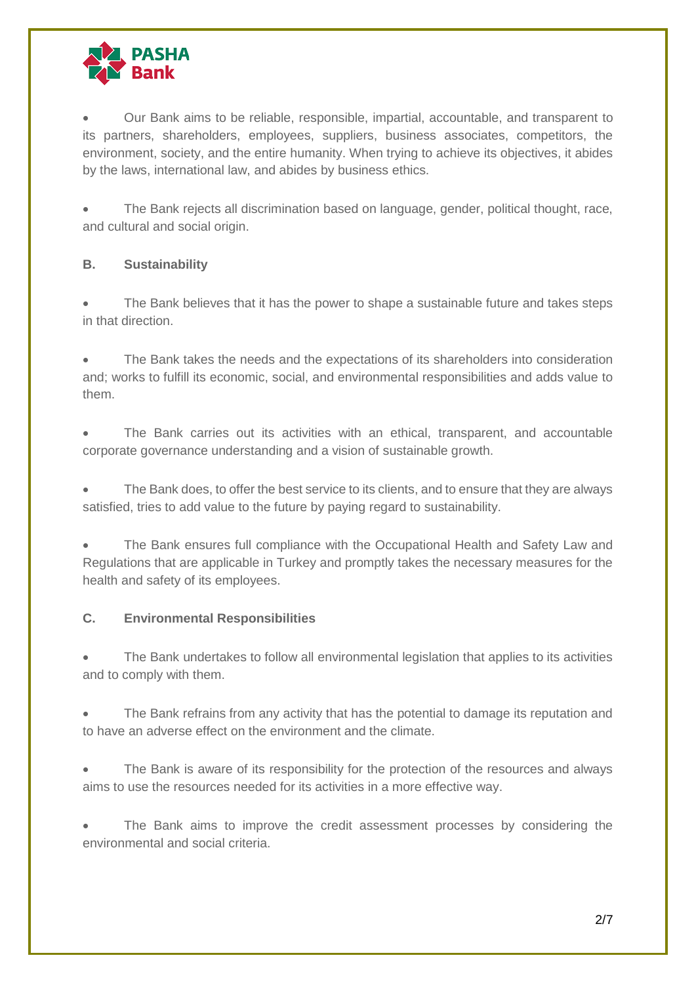

 Our Bank aims to be reliable, responsible, impartial, accountable, and transparent to its partners, shareholders, employees, suppliers, business associates, competitors, the environment, society, and the entire humanity. When trying to achieve its objectives, it abides by the laws, international law, and abides by business ethics.

 The Bank rejects all discrimination based on language, gender, political thought, race, and cultural and social origin.

## **B. Sustainability**

 The Bank believes that it has the power to shape a sustainable future and takes steps in that direction.

 The Bank takes the needs and the expectations of its shareholders into consideration and; works to fulfill its economic, social, and environmental responsibilities and adds value to them.

 The Bank carries out its activities with an ethical, transparent, and accountable corporate governance understanding and a vision of sustainable growth.

 The Bank does, to offer the best service to its clients, and to ensure that they are always satisfied, tries to add value to the future by paying regard to sustainability.

 The Bank ensures full compliance with the Occupational Health and Safety Law and Regulations that are applicable in Turkey and promptly takes the necessary measures for the health and safety of its employees.

## **C. Environmental Responsibilities**

 The Bank undertakes to follow all environmental legislation that applies to its activities and to comply with them.

 The Bank refrains from any activity that has the potential to damage its reputation and to have an adverse effect on the environment and the climate.

 The Bank is aware of its responsibility for the protection of the resources and always aims to use the resources needed for its activities in a more effective way.

 The Bank aims to improve the credit assessment processes by considering the environmental and social criteria.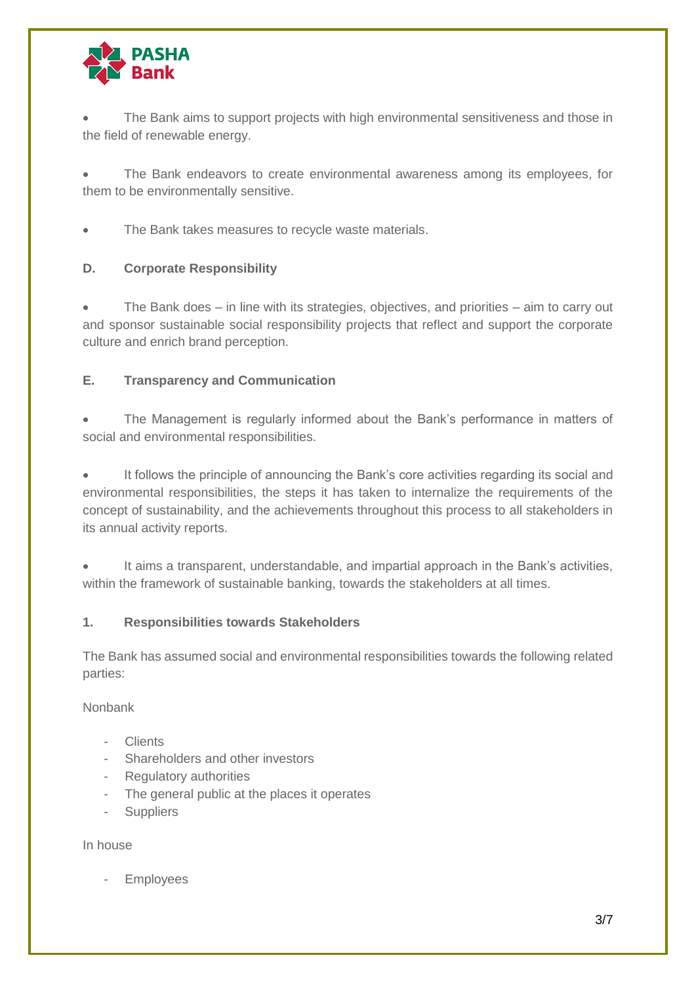

 The Bank aims to support projects with high environmental sensitiveness and those in the field of renewable energy.

 The Bank endeavors to create environmental awareness among its employees, for them to be environmentally sensitive.

• The Bank takes measures to recycle waste materials.

## **D. Corporate Responsibility**

 The Bank does – in line with its strategies, objectives, and priorities – aim to carry out and sponsor sustainable social responsibility projects that reflect and support the corporate culture and enrich brand perception.

## **E. Transparency and Communication**

 The Management is regularly informed about the Bank's performance in matters of social and environmental responsibilities.

 It follows the principle of announcing the Bank's core activities regarding its social and environmental responsibilities, the steps it has taken to internalize the requirements of the concept of sustainability, and the achievements throughout this process to all stakeholders in its annual activity reports.

 It aims a transparent, understandable, and impartial approach in the Bank's activities, within the framework of sustainable banking, towards the stakeholders at all times.

## **1. Responsibilities towards Stakeholders**

The Bank has assumed social and environmental responsibilities towards the following related parties:

Nonbank

- Clients
- Shareholders and other investors
- Regulatory authorities
- The general public at the places it operates
- **Suppliers**

#### In house

**Employees**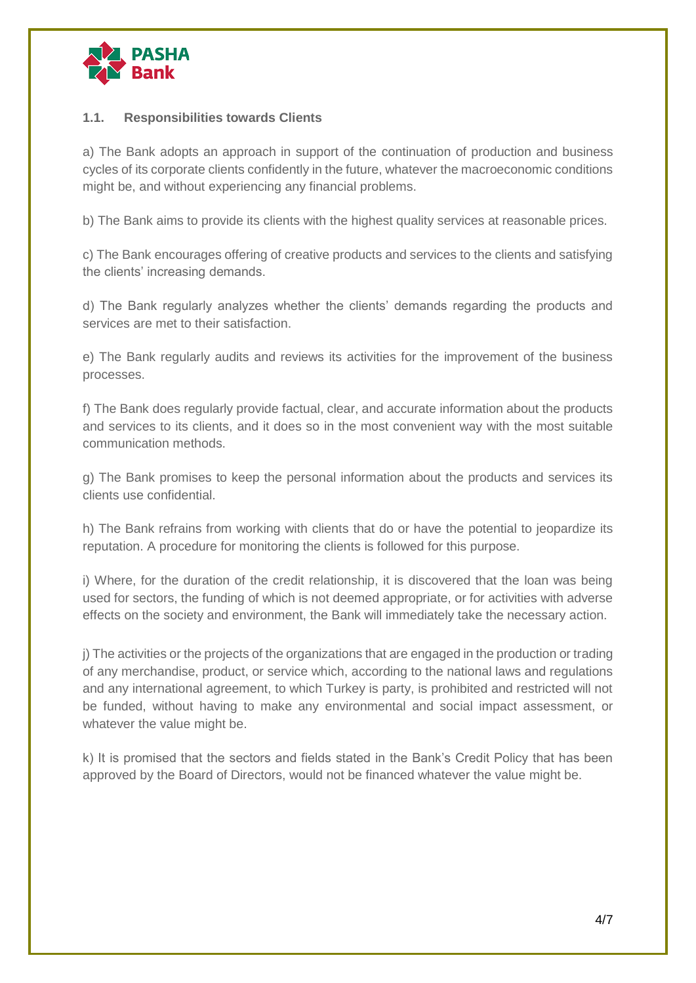

### **1.1. Responsibilities towards Clients**

a) The Bank adopts an approach in support of the continuation of production and business cycles of its corporate clients confidently in the future, whatever the macroeconomic conditions might be, and without experiencing any financial problems.

b) The Bank aims to provide its clients with the highest quality services at reasonable prices.

c) The Bank encourages offering of creative products and services to the clients and satisfying the clients' increasing demands.

d) The Bank regularly analyzes whether the clients' demands regarding the products and services are met to their satisfaction.

e) The Bank regularly audits and reviews its activities for the improvement of the business processes.

f) The Bank does regularly provide factual, clear, and accurate information about the products and services to its clients, and it does so in the most convenient way with the most suitable communication methods.

g) The Bank promises to keep the personal information about the products and services its clients use confidential.

h) The Bank refrains from working with clients that do or have the potential to jeopardize its reputation. A procedure for monitoring the clients is followed for this purpose.

i) Where, for the duration of the credit relationship, it is discovered that the loan was being used for sectors, the funding of which is not deemed appropriate, or for activities with adverse effects on the society and environment, the Bank will immediately take the necessary action.

j) The activities or the projects of the organizations that are engaged in the production or trading of any merchandise, product, or service which, according to the national laws and regulations and any international agreement, to which Turkey is party, is prohibited and restricted will not be funded, without having to make any environmental and social impact assessment, or whatever the value might be.

k) It is promised that the sectors and fields stated in the Bank's Credit Policy that has been approved by the Board of Directors, would not be financed whatever the value might be.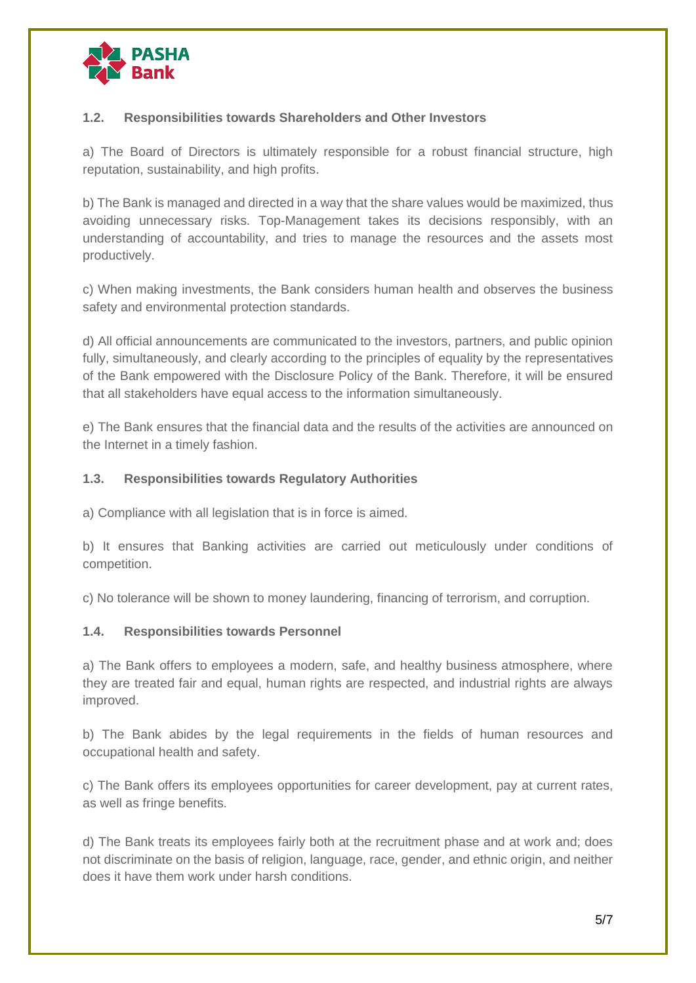

### **1.2. Responsibilities towards Shareholders and Other Investors**

a) The Board of Directors is ultimately responsible for a robust financial structure, high reputation, sustainability, and high profits.

b) The Bank is managed and directed in a way that the share values would be maximized, thus avoiding unnecessary risks. Top-Management takes its decisions responsibly, with an understanding of accountability, and tries to manage the resources and the assets most productively.

c) When making investments, the Bank considers human health and observes the business safety and environmental protection standards.

d) All official announcements are communicated to the investors, partners, and public opinion fully, simultaneously, and clearly according to the principles of equality by the representatives of the Bank empowered with the Disclosure Policy of the Bank. Therefore, it will be ensured that all stakeholders have equal access to the information simultaneously.

e) The Bank ensures that the financial data and the results of the activities are announced on the Internet in a timely fashion.

#### **1.3. Responsibilities towards Regulatory Authorities**

a) Compliance with all legislation that is in force is aimed.

b) It ensures that Banking activities are carried out meticulously under conditions of competition.

c) No tolerance will be shown to money laundering, financing of terrorism, and corruption.

#### **1.4. Responsibilities towards Personnel**

a) The Bank offers to employees a modern, safe, and healthy business atmosphere, where they are treated fair and equal, human rights are respected, and industrial rights are always improved.

b) The Bank abides by the legal requirements in the fields of human resources and occupational health and safety.

c) The Bank offers its employees opportunities for career development, pay at current rates, as well as fringe benefits.

d) The Bank treats its employees fairly both at the recruitment phase and at work and; does not discriminate on the basis of religion, language, race, gender, and ethnic origin, and neither does it have them work under harsh conditions.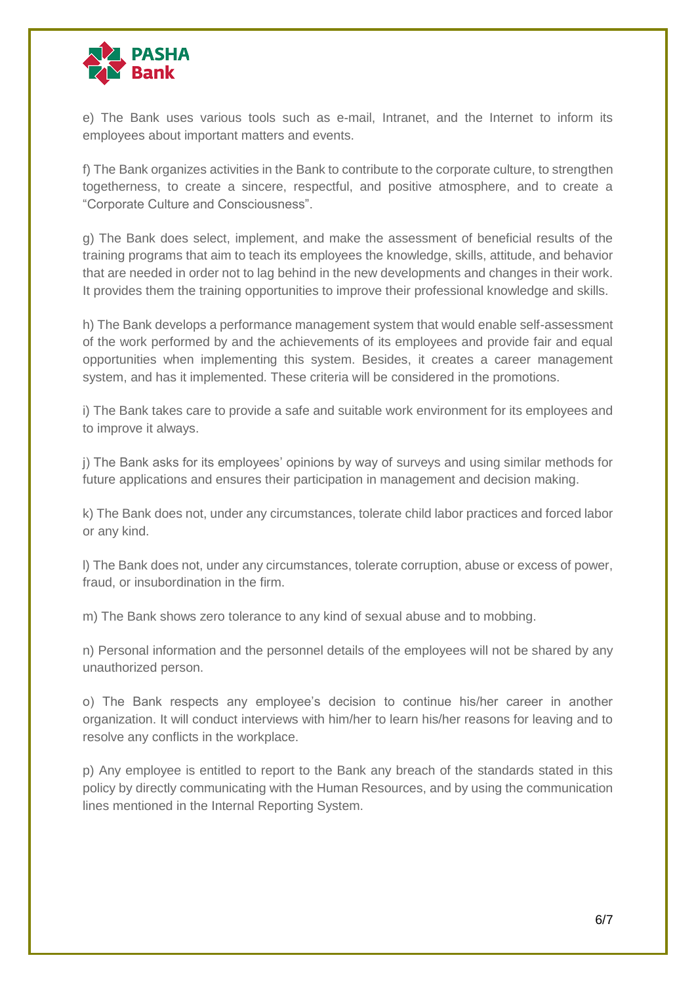

e) The Bank uses various tools such as e-mail, Intranet, and the Internet to inform its employees about important matters and events.

f) The Bank organizes activities in the Bank to contribute to the corporate culture, to strengthen togetherness, to create a sincere, respectful, and positive atmosphere, and to create a "Corporate Culture and Consciousness".

g) The Bank does select, implement, and make the assessment of beneficial results of the training programs that aim to teach its employees the knowledge, skills, attitude, and behavior that are needed in order not to lag behind in the new developments and changes in their work. It provides them the training opportunities to improve their professional knowledge and skills.

h) The Bank develops a performance management system that would enable self-assessment of the work performed by and the achievements of its employees and provide fair and equal opportunities when implementing this system. Besides, it creates a career management system, and has it implemented. These criteria will be considered in the promotions.

i) The Bank takes care to provide a safe and suitable work environment for its employees and to improve it always.

j) The Bank asks for its employees' opinions by way of surveys and using similar methods for future applications and ensures their participation in management and decision making.

k) The Bank does not, under any circumstances, tolerate child labor practices and forced labor or any kind.

l) The Bank does not, under any circumstances, tolerate corruption, abuse or excess of power, fraud, or insubordination in the firm.

m) The Bank shows zero tolerance to any kind of sexual abuse and to mobbing.

n) Personal information and the personnel details of the employees will not be shared by any unauthorized person.

o) The Bank respects any employee's decision to continue his/her career in another organization. It will conduct interviews with him/her to learn his/her reasons for leaving and to resolve any conflicts in the workplace.

p) Any employee is entitled to report to the Bank any breach of the standards stated in this policy by directly communicating with the Human Resources, and by using the communication lines mentioned in the Internal Reporting System.